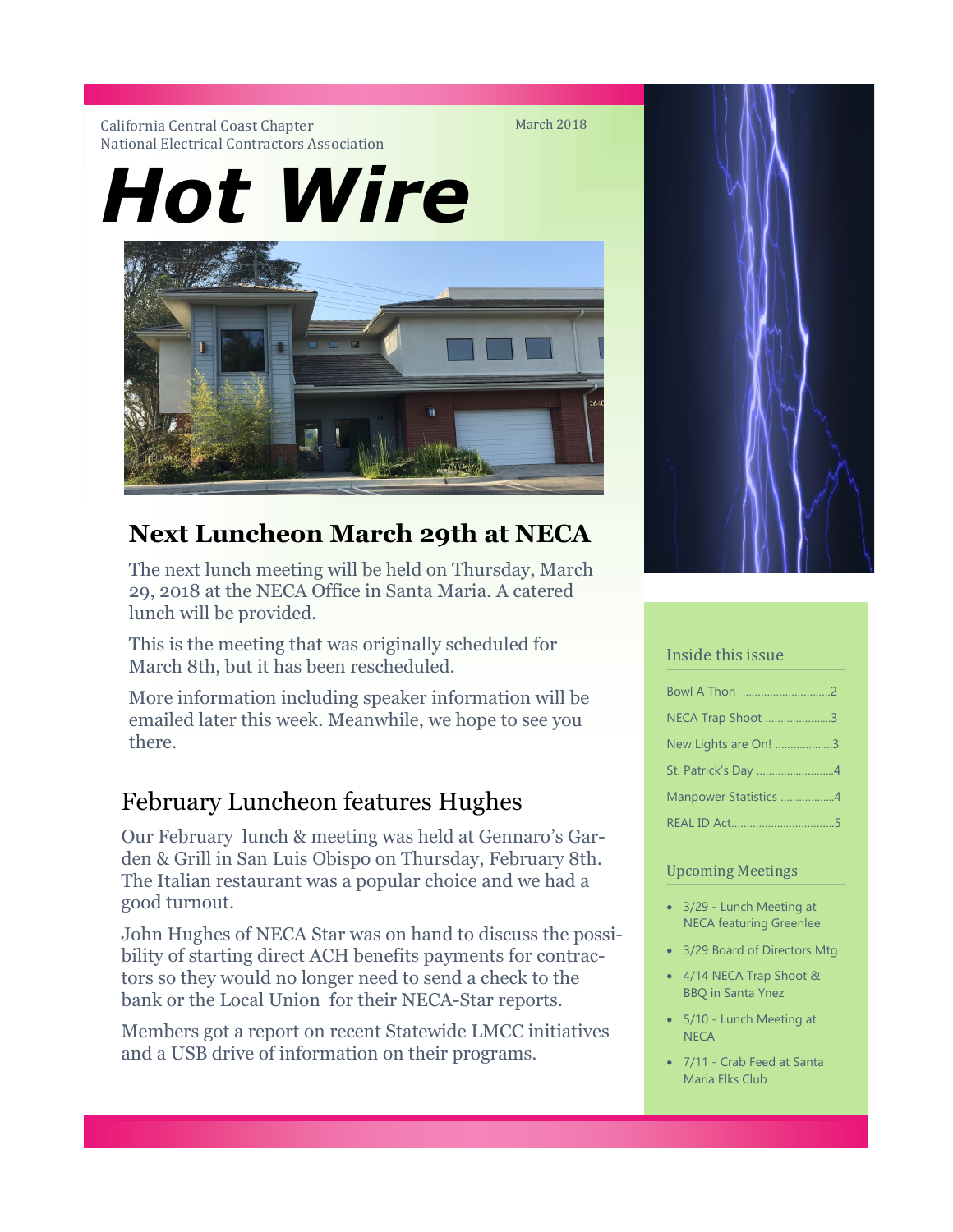#### California Central Coast Chapter National Electrical Contractors Association

*Hot Wire*



# **Next Luncheon March 29th at NECA**

The next lunch meeting will be held on Thursday, March 29, 2018 at the NECA Office in Santa Maria. A catered lunch will be provided.

This is the meeting that was originally scheduled for March 8th, but it has been rescheduled.

More information including speaker information will be emailed later this week. Meanwhile, we hope to see you there.

## February Luncheon features Hughes

Our February lunch & meeting was held at Gennaro's Garden & Grill in San Luis Obispo on Thursday, February 8th. The Italian restaurant was a popular choice and we had a good turnout.

John Hughes of NECA Star was on hand to discuss the possibility of starting direct ACH benefits payments for contractors so they would no longer need to send a check to the bank or the Local Union for their NECA-Star reports.

Members got a report on recent Statewide LMCC initiatives and a USB drive of information on their programs.



#### Inside this issue

| NECA Trap Shoot 3     |  |
|-----------------------|--|
| New Lights are On! 3  |  |
| St. Patrick's Day 4   |  |
| Manpower Statistics 4 |  |
|                       |  |

#### Upcoming Meetings

- 3/29 Lunch Meeting at NECA featuring Greenlee
- 3/29 Board of Directors Mtg
- 4/14 NECA Trap Shoot & BBQ in Santa Ynez
- 5/10 Lunch Meeting at **NECA**
- 7/11 Crab Feed at Santa Maria Elks Club

March 2018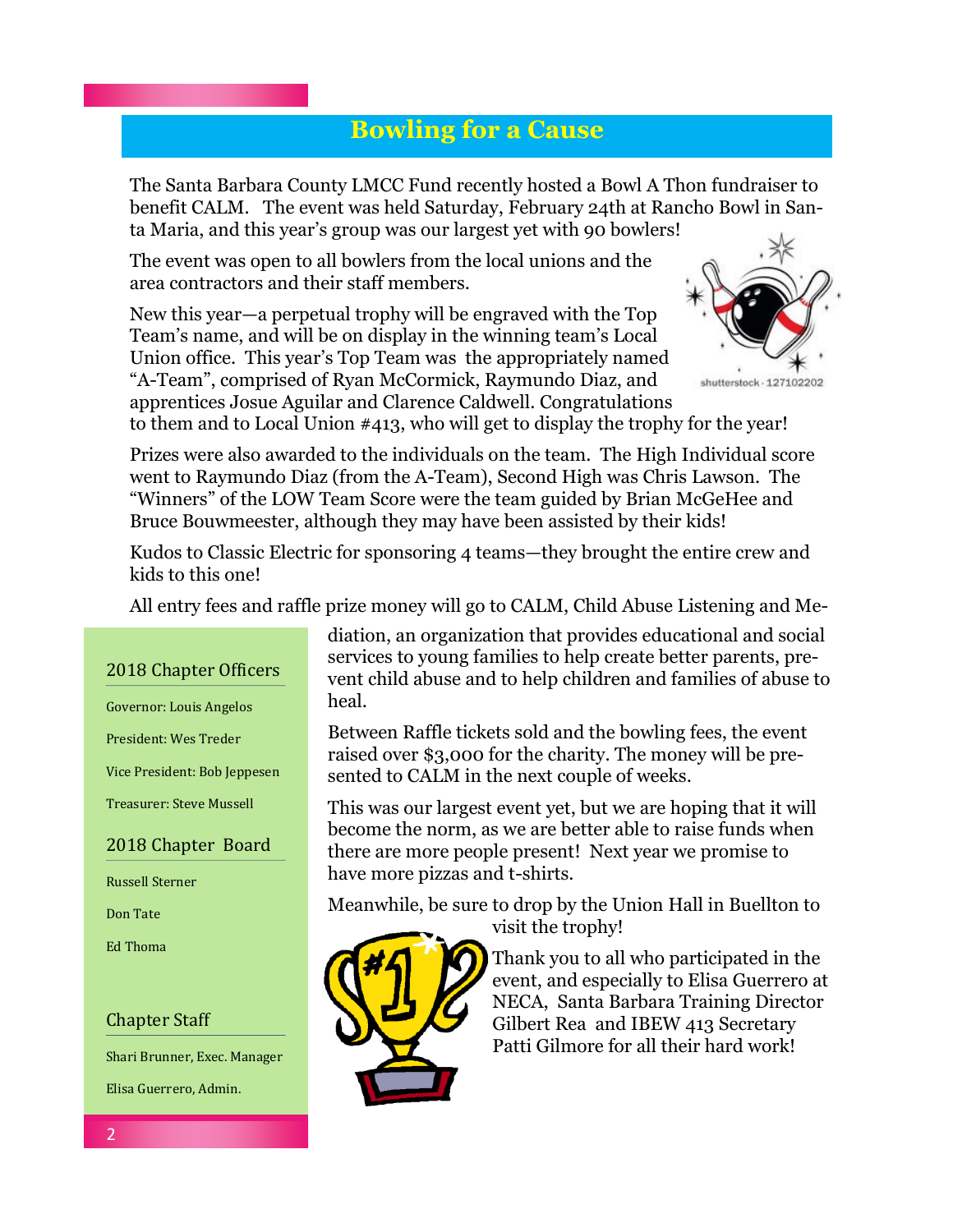## **Bowling for a Cause**

The Santa Barbara County LMCC Fund recently hosted a Bowl A Thon fundraiser to benefit CALM. The event was held Saturday, February 24th at Rancho Bowl in Santa Maria, and this year's group was our largest yet with 90 bowlers!

The event was open to all bowlers from the local unions and the area contractors and their staff members.

New this year—a perpetual trophy will be engraved with the Top Team's name, and will be on display in the winning team's Local Union office. This year's Top Team was the appropriately named "A-Team", comprised of Ryan McCormick, Raymundo Diaz, and apprentices Josue Aguilar and Clarence Caldwell. Congratulations



to them and to Local Union #413, who will get to display the trophy for the year!

Prizes were also awarded to the individuals on the team. The High Individual score went to Raymundo Diaz (from the A-Team), Second High was Chris Lawson. The "Winners" of the LOW Team Score were the team guided by Brian McGeHee and Bruce Bouwmeester, although they may have been assisted by their kids!

Kudos to Classic Electric for sponsoring 4 teams—they brought the entire crew and kids to this one!

All entry fees and raffle prize money will go to CALM, Child Abuse Listening and Me-

### 2018 Chapter Officers

Governor: Louis Angelos

President: Wes Treder

Vice President: Bob Jeppesen

Treasurer: Steve Mussell

### 2018 Chapter Board

Russell Sterner

Don Tate

Ed Thoma

### Chapter Staff

Shari Brunner, Exec. Manager

Elisa Guerrero, Admin.

diation, an organization that provides educational and social services to young families to help create better parents, prevent child abuse and to help children and families of abuse to heal.

Between Raffle tickets sold and the bowling fees, the event raised over \$3,000 for the charity. The money will be presented to CALM in the next couple of weeks.

This was our largest event yet, but we are hoping that it will become the norm, as we are better able to raise funds when there are more people present! Next year we promise to have more pizzas and t-shirts.

Meanwhile, be sure to drop by the Union Hall in Buellton to visit the trophy!



Thank you to all who participated in the event, and especially to Elisa Guerrero at NECA, Santa Barbara Training Director Gilbert Rea and IBEW 413 Secretary Patti Gilmore for all their hard work!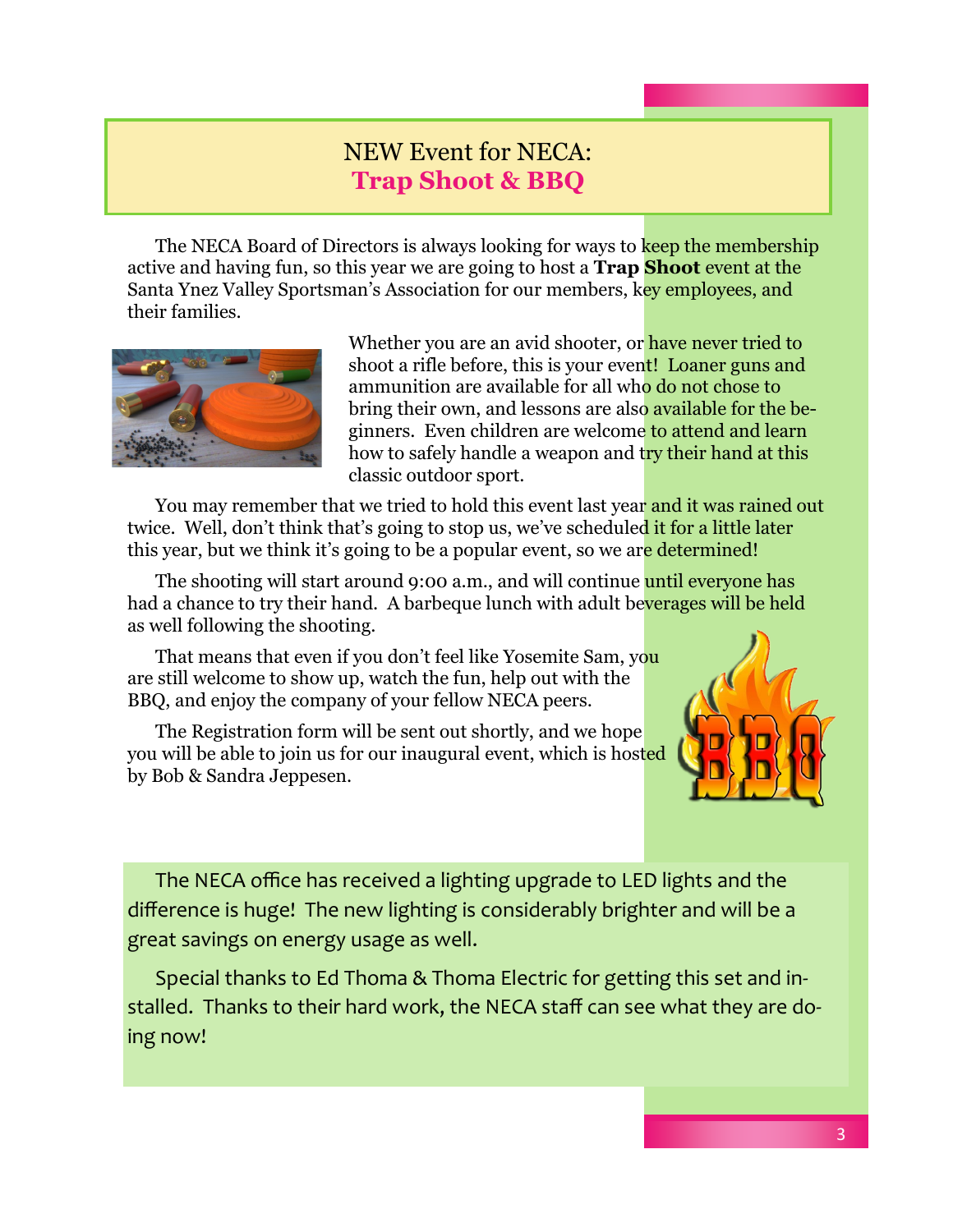### NEW Event for NECA: **Trap Shoot & BBQ**

The NECA Board of Directors is always looking for ways to keep the membership active and having fun, so this year we are going to host a **Trap Shoot** event at the Santa Ynez Valley Sportsman's Association for our members, key employees, and their families.



Whether you are an avid shooter, or have never tried to shoot a rifle before, this is your event! Loaner guns and ammunition are available for all who do not chose to bring their own, and lessons are also available for the beginners. Even children are welcome to attend and learn how to safely handle a weapon and try their hand at this classic outdoor sport.

You may remember that we tried to hold this event last year and it was rained out twice. Well, don't think that's going to stop us, we've scheduled it for a little later this year, but we think it's going to be a popular event, so we are determined!

The shooting will start around 9:00 a.m., and will continue until everyone has had a chance to try their hand. A barbeque lunch with adult beverages will be held as well following the shooting.

That means that even if you don't feel like Yosemite Sam, you are still welcome to show up, watch the fun, help out with the BBQ, and enjoy the company of your fellow NECA peers.

The Registration form will be sent out shortly, and we hope you will be able to join us for our inaugural event, which is hosted by Bob & Sandra Jeppesen.



The NECA office has received a lighting upgrade to LED lights and the difference is huge! The new lighting is considerably brighter and will be a great savings on energy usage as well.

Special thanks to Ed Thoma & Thoma Electric for getting this set and installed. Thanks to their hard work, the NECA staff can see what they are doing now!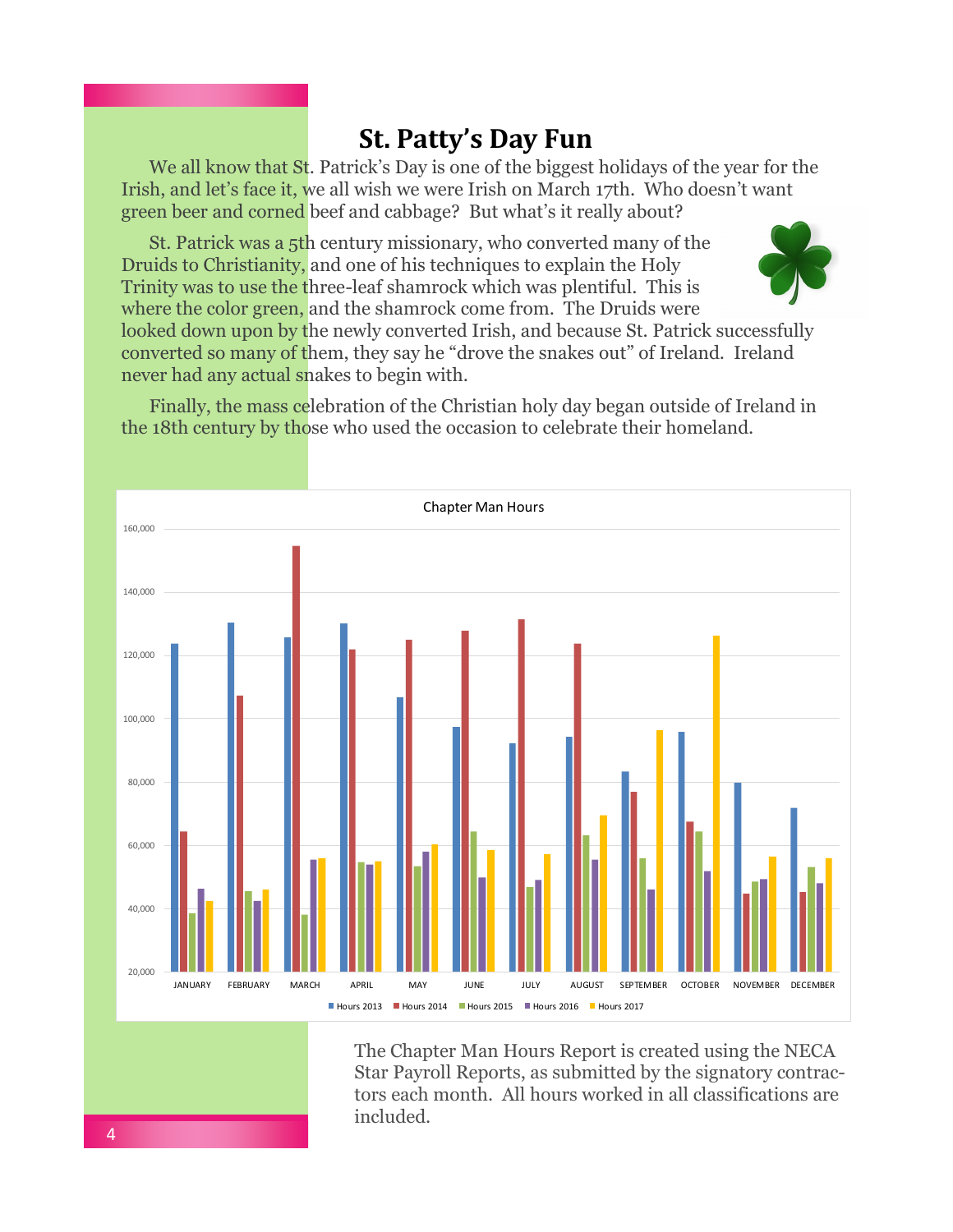## **St. Patty's Day Fun**

We all know that St. Patrick's Day is one of the biggest holidays of the year for the Irish, and let's face it, we all wish we were Irish on March 17th. Who doesn't want green beer and corned beef and cabbage? But what's it really about?

St. Patrick was a 5th century missionary, who converted many of the Druids to Christianity, and one of his techniques to explain the Holy Trinity was to use the three-leaf shamrock which was plentiful. This is where the color green, and the shamrock come from. The Druids were



looked down upon by the newly converted Irish, and because St. Patrick successfully converted so many of them, they say he "drove the snakes out" of Ireland. Ireland never had any actual snakes to begin with.

Finally, the mass celebration of the Christian holy day began outside of Ireland in the 18th century by those who used the occasion to celebrate their homeland.



The Chapter Man Hours Report is created using the NECA Star Payroll Reports, as submitted by the signatory contractors each month. All hours worked in all classifications are included.